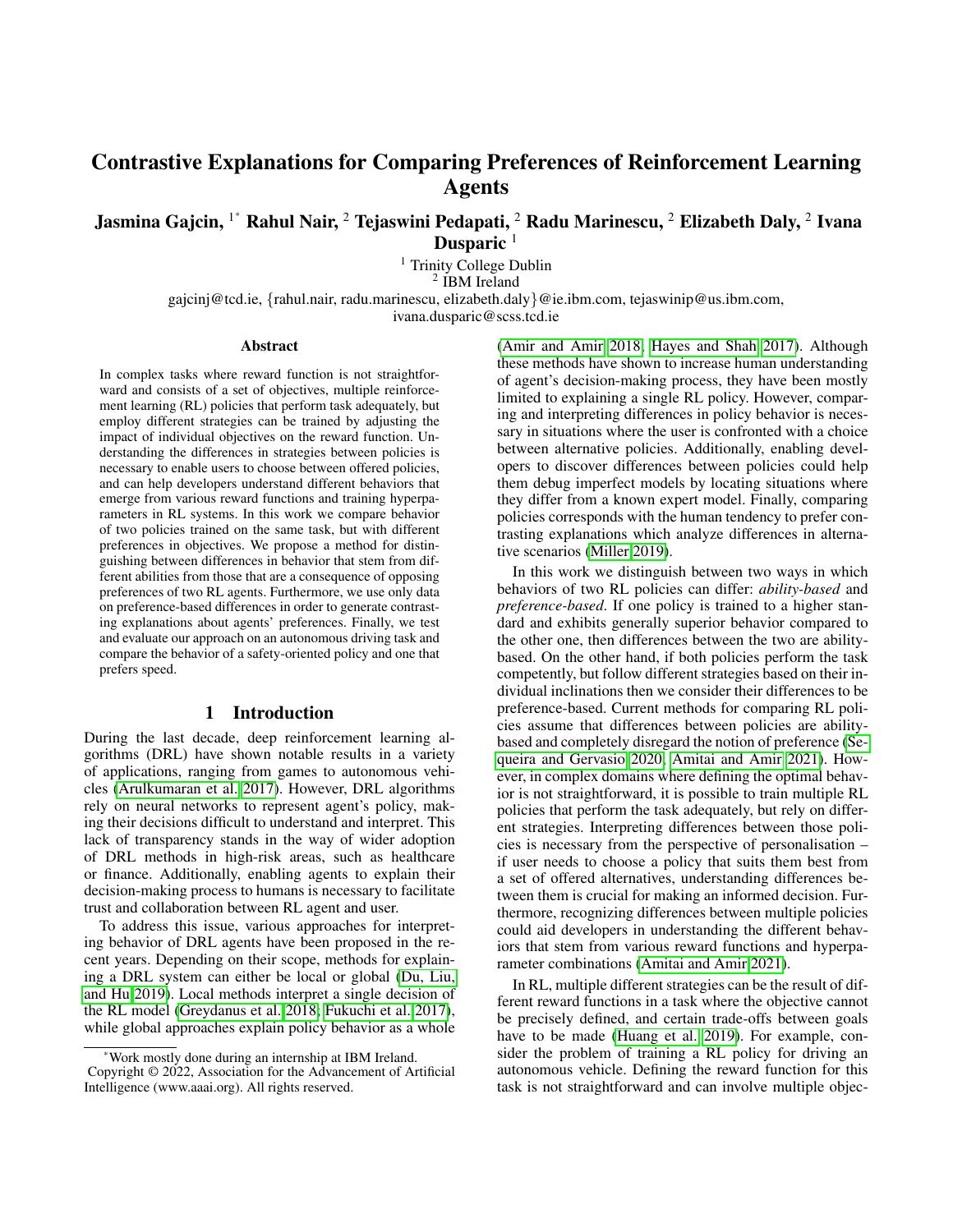# Contrastive Explanations for Comparing Preferences of Reinforcement Learning Agents

# Jasmina Gajcin,  $^{1^\ast}$  Rahul Nair,  $^2$  Tejaswini Pedapati,  $^2$  Radu Marinescu,  $^2$  Elizabeth Daly,  $^2$  Ivana Dusparic  $1$

<sup>1</sup> Trinity College Dublin

2 IBM Ireland

gajcinj@tcd.ie, {rahul.nair, radu.marinescu, elizabeth.daly}@ie.ibm.com, tejaswinip@us.ibm.com,

ivana.dusparic@scss.tcd.ie

#### **Abstract**

In complex tasks where reward function is not straightforward and consists of a set of objectives, multiple reinforcement learning (RL) policies that perform task adequately, but employ different strategies can be trained by adjusting the impact of individual objectives on the reward function. Understanding the differences in strategies between policies is necessary to enable users to choose between offered policies, and can help developers understand different behaviors that emerge from various reward functions and training hyperparameters in RL systems. In this work we compare behavior of two policies trained on the same task, but with different preferences in objectives. We propose a method for distinguishing between differences in behavior that stem from different abilities from those that are a consequence of opposing preferences of two RL agents. Furthermore, we use only data on preference-based differences in order to generate contrasting explanations about agents' preferences. Finally, we test and evaluate our approach on an autonomous driving task and compare the behavior of a safety-oriented policy and one that prefers speed.

#### 1 Introduction

During the last decade, deep reinforcement learning algorithms (DRL) have shown notable results in a variety of applications, ranging from games to autonomous vehicles [\(Arulkumaran et al. 2017\)](#page-6-0). However, DRL algorithms rely on neural networks to represent agent's policy, making their decisions difficult to understand and interpret. This lack of transparency stands in the way of wider adoption of DRL methods in high-risk areas, such as healthcare or finance. Additionally, enabling agents to explain their decision-making process to humans is necessary to facilitate trust and collaboration between RL agent and user.

To address this issue, various approaches for interpreting behavior of DRL agents have been proposed in the recent years. Depending on their scope, methods for explaining a DRL system can either be local or global [\(Du, Liu,](#page-6-1) [and Hu 2019\)](#page-6-1). Local methods interpret a single decision of the RL model [\(Greydanus et al. 2018;](#page-6-2) [Fukuchi et al. 2017\)](#page-6-3), while global approaches explain policy behavior as a whole

[\(Amir and Amir 2018;](#page-6-4) [Hayes and Shah 2017\)](#page-6-5). Although these methods have shown to increase human understanding of agent's decision-making process, they have been mostly limited to explaining a single RL policy. However, comparing and interpreting differences in policy behavior is necessary in situations where the user is confronted with a choice between alternative policies. Additionally, enabling developers to discover differences between policies could help them debug imperfect models by locating situations where they differ from a known expert model. Finally, comparing policies corresponds with the human tendency to prefer contrasting explanations which analyze differences in alternative scenarios [\(Miller 2019\)](#page-6-6).

In this work we distinguish between two ways in which behaviors of two RL policies can differ: *ability-based* and *preference-based*. If one policy is trained to a higher standard and exhibits generally superior behavior compared to the other one, then differences between the two are abilitybased. On the other hand, if both policies perform the task competently, but follow different strategies based on their individual inclinations then we consider their differences to be preference-based. Current methods for comparing RL policies assume that differences between policies are abilitybased and completely disregard the notion of preference [\(Se](#page-6-7)[queira and Gervasio 2020;](#page-6-7) [Amitai and Amir 2021\)](#page-6-8). However, in complex domains where defining the optimal behavior is not straightforward, it is possible to train multiple RL policies that perform the task adequately, but rely on different strategies. Interpreting differences between those policies is necessary from the perspective of personalisation – if user needs to choose a policy that suits them best from a set of offered alternatives, understanding differences between them is crucial for making an informed decision. Furthermore, recognizing differences between multiple policies could aid developers in understanding the different behaviors that stem from various reward functions and hyperparameter combinations [\(Amitai and Amir 2021\)](#page-6-8).

In RL, multiple different strategies can be the result of different reward functions in a task where the objective cannot be precisely defined, and certain trade-offs between goals have to be made [\(Huang et al. 2019\)](#page-6-9). For example, consider the problem of training a RL policy for driving an autonomous vehicle. Defining the reward function for this task is not straightforward and can involve multiple objec-

<sup>\*</sup>Work mostly done during an internship at IBM Ireland. Copyright © 2022, Association for the Advancement of Artificial Intelligence (www.aaai.org). All rights reserved.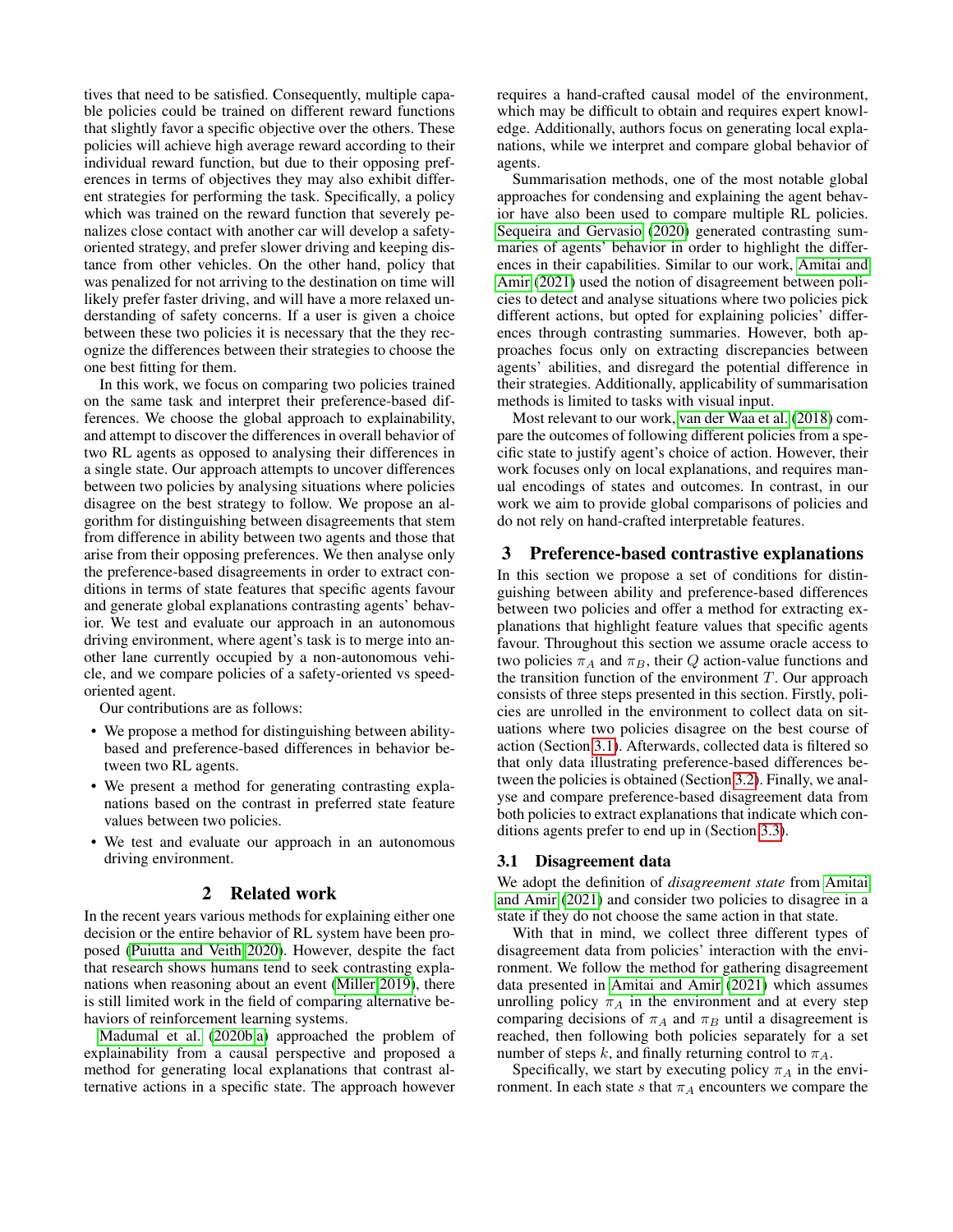tives that need to be satisfied. Consequently, multiple capable policies could be trained on different reward functions that slightly favor a specific objective over the others. These policies will achieve high average reward according to their individual reward function, but due to their opposing preferences in terms of objectives they may also exhibit different strategies for performing the task. Specifically, a policy which was trained on the reward function that severely penalizes close contact with another car will develop a safetyoriented strategy, and prefer slower driving and keeping distance from other vehicles. On the other hand, policy that was penalized for not arriving to the destination on time will likely prefer faster driving, and will have a more relaxed understanding of safety concerns. If a user is given a choice between these two policies it is necessary that the they recognize the differences between their strategies to choose the one best fitting for them.

In this work, we focus on comparing two policies trained on the same task and interpret their preference-based differences. We choose the global approach to explainability, and attempt to discover the differences in overall behavior of two RL agents as opposed to analysing their differences in a single state. Our approach attempts to uncover differences between two policies by analysing situations where policies disagree on the best strategy to follow. We propose an algorithm for distinguishing between disagreements that stem from difference in ability between two agents and those that arise from their opposing preferences. We then analyse only the preference-based disagreements in order to extract conditions in terms of state features that specific agents favour and generate global explanations contrasting agents' behavior. We test and evaluate our approach in an autonomous driving environment, where agent's task is to merge into another lane currently occupied by a non-autonomous vehicle, and we compare policies of a safety-oriented vs speedoriented agent.

Our contributions are as follows:

- We propose a method for distinguishing between abilitybased and preference-based differences in behavior between two RL agents.
- We present a method for generating contrasting explanations based on the contrast in preferred state feature values between two policies.
- We test and evaluate our approach in an autonomous driving environment.

#### 2 Related work

In the recent years various methods for explaining either one decision or the entire behavior of RL system have been proposed [\(Puiutta and Veith 2020\)](#page-6-10). However, despite the fact that research shows humans tend to seek contrasting explanations when reasoning about an event [\(Miller 2019\)](#page-6-6), there is still limited work in the field of comparing alternative behaviors of reinforcement learning systems.

[Madumal et al.](#page-6-11) [\(2020b](#page-6-11)[,a\)](#page-6-12) approached the problem of explainability from a causal perspective and proposed a method for generating local explanations that contrast alternative actions in a specific state. The approach however requires a hand-crafted causal model of the environment, which may be difficult to obtain and requires expert knowledge. Additionally, authors focus on generating local explanations, while we interpret and compare global behavior of agents.

Summarisation methods, one of the most notable global approaches for condensing and explaining the agent behavior have also been used to compare multiple RL policies. [Sequeira and Gervasio](#page-6-7) [\(2020\)](#page-6-7) generated contrasting summaries of agents' behavior in order to highlight the differences in their capabilities. Similar to our work, [Amitai and](#page-6-8) [Amir](#page-6-8) [\(2021\)](#page-6-8) used the notion of disagreement between policies to detect and analyse situations where two policies pick different actions, but opted for explaining policies' differences through contrasting summaries. However, both approaches focus only on extracting discrepancies between agents' abilities, and disregard the potential difference in their strategies. Additionally, applicability of summarisation methods is limited to tasks with visual input.

Most relevant to our work, [van der Waa et al.](#page-6-13) [\(2018\)](#page-6-13) compare the outcomes of following different policies from a specific state to justify agent's choice of action. However, their work focuses only on local explanations, and requires manual encodings of states and outcomes. In contrast, in our work we aim to provide global comparisons of policies and do not rely on hand-crafted interpretable features.

#### <span id="page-1-1"></span>3 Preference-based contrastive explanations

In this section we propose a set of conditions for distinguishing between ability and preference-based differences between two policies and offer a method for extracting explanations that highlight feature values that specific agents favour. Throughout this section we assume oracle access to two policies  $\pi_A$  and  $\pi_B$ , their Q action-value functions and the transition function of the environment  $T$ . Our approach consists of three steps presented in this section. Firstly, policies are unrolled in the environment to collect data on situations where two policies disagree on the best course of action (Section [3.1\)](#page-1-0). Afterwards, collected data is filtered so that only data illustrating preference-based differences between the policies is obtained (Section [3.2\)](#page-2-0). Finally, we analyse and compare preference-based disagreement data from both policies to extract explanations that indicate which conditions agents prefer to end up in (Section [3.3\)](#page-3-0).

#### <span id="page-1-0"></span>3.1 Disagreement data

We adopt the definition of *disagreement state* from [Amitai](#page-6-8) [and Amir](#page-6-8) [\(2021\)](#page-6-8) and consider two policies to disagree in a state if they do not choose the same action in that state.

With that in mind, we collect three different types of disagreement data from policies' interaction with the environment. We follow the method for gathering disagreement data presented in [Amitai and Amir](#page-6-8) [\(2021\)](#page-6-8) which assumes unrolling policy  $\pi_A$  in the environment and at every step comparing decisions of  $\pi_A$  and  $\pi_B$  until a disagreement is reached, then following both policies separately for a set number of steps k, and finally returning control to  $\pi_A$ .

Specifically, we start by executing policy  $\pi_A$  in the environment. In each state s that  $\pi_A$  encounters we compare the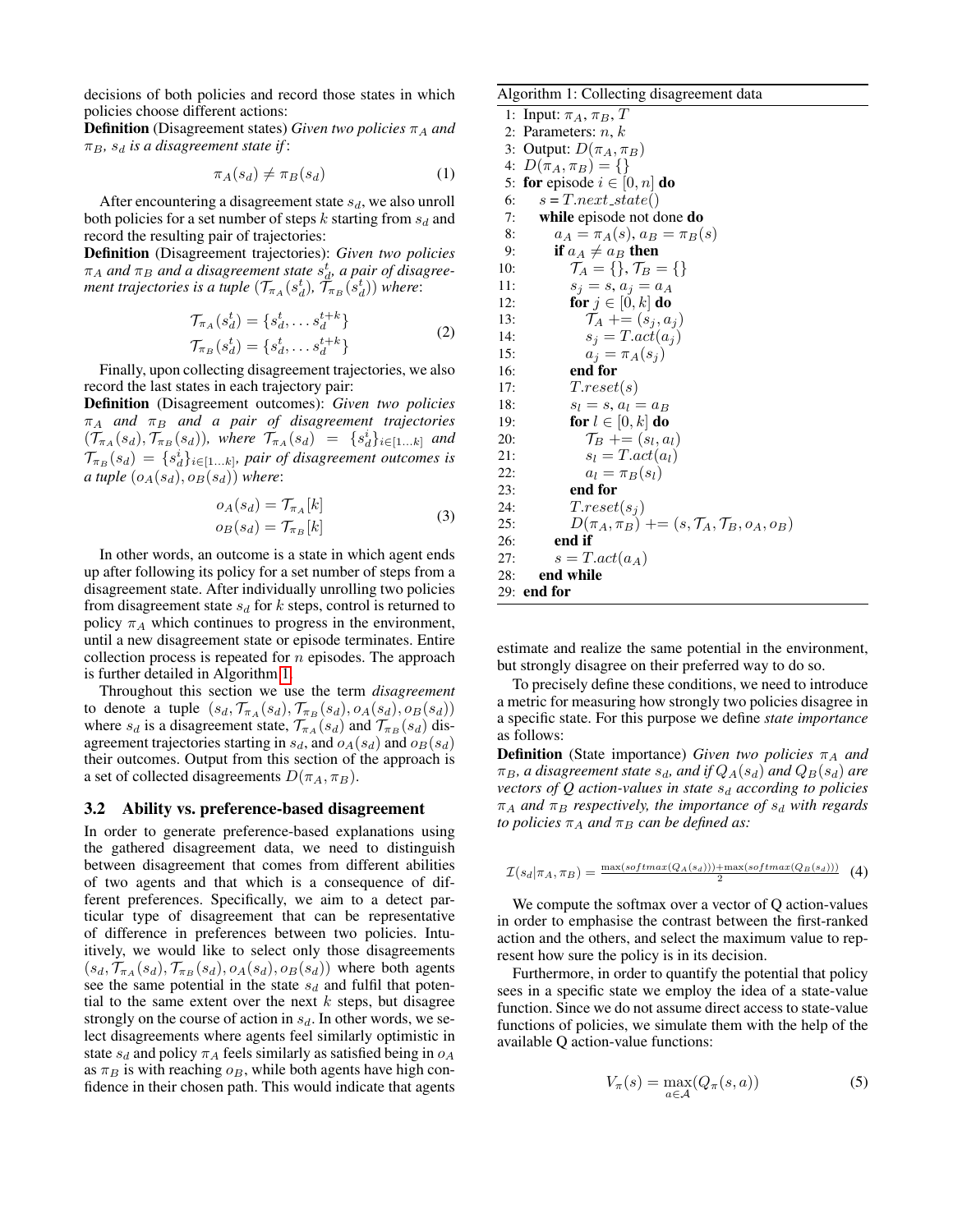decisions of both policies and record those states in which policies choose different actions:

**Definition** (Disagreement states) *Given two policies*  $\pi_A$  *and*  $\pi_B$ ,  $s_d$  *is a disagreement state if*:

$$
\pi_A(s_d) \neq \pi_B(s_d) \tag{1}
$$

After encountering a disagreement state  $s_d$ , we also unroll both policies for a set number of steps k starting from  $s_d$  and record the resulting pair of trajectories:

Definition (Disagreement trajectories): *Given two policies*  $\pi_A$  and  $\pi_B$  and a disagreement state  $s_d^t$ , a pair of disagree*ment trajectories is a tuple*  $(\mathcal{T}_{\pi_A}(s_d^t), \tilde{\mathcal{T}}_{\pi_B}(s_d^t))$  where:

$$
\mathcal{T}_{\pi_A}(s_d^t) = \{s_d^t, \dots s_d^{t+k}\}\n\n\mathcal{T}_{\pi_B}(s_d^t) = \{s_d^t, \dots s_d^{t+k}\}\n\n(2)
$$

Finally, upon collecting disagreement trajectories, we also record the last states in each trajectory pair:

Definition (Disagreement outcomes): *Given two policies*  $\pi_A$  and  $\pi_B$  and a pair of disagreement trajectories  $(\mathcal{T}_{\pi_A}(s_d), \mathcal{T}_{\pi_B}(s_d))$ , where  $\mathcal{T}_{\pi_A}(s_d) = \{s_d^i\}_{i \in [1...k]}$  and  $\mathcal{T}_{\pi_B}(s_d) = \{s_d^i\}_{i \in [1...k]}$ , pair of disagreement outcomes is *a tuple*  $(o_A(s_d), o_B(s_d))$  *where:* 

$$
o_A(s_d) = \mathcal{T}_{\pi_A}[k]
$$
  
\n
$$
o_B(s_d) = \mathcal{T}_{\pi_B}[k]
$$
\n(3)

In other words, an outcome is a state in which agent ends up after following its policy for a set number of steps from a disagreement state. After individually unrolling two policies from disagreement state  $s_d$  for k steps, control is returned to policy  $\pi_A$  which continues to progress in the environment, until a new disagreement state or episode terminates. Entire collection process is repeated for  $n$  episodes. The approach is further detailed in Algorithm [1.](#page-2-1)

Throughout this section we use the term *disagreement* to denote a tuple  $(s_d, \mathcal{T}_{\pi_A}(s_d), \mathcal{T}_{\pi_B}(s_d), o_A(s_d), o_B(s_d))$ where  $s_d$  is a disagreement state,  $\mathcal{T}_{\pi_A}(s_d)$  and  $\mathcal{T}_{\pi_B}(s_d)$  disagreement trajectories starting in  $s_d$ , and  $o_A(s_d)$  and  $o_B(s_d)$ their outcomes. Output from this section of the approach is a set of collected disagreements  $D(\pi_A, \pi_B)$ .

#### <span id="page-2-0"></span>3.2 Ability vs. preference-based disagreement

In order to generate preference-based explanations using the gathered disagreement data, we need to distinguish between disagreement that comes from different abilities of two agents and that which is a consequence of different preferences. Specifically, we aim to a detect particular type of disagreement that can be representative of difference in preferences between two policies. Intuitively, we would like to select only those disagreements  $(s_d, \mathcal{T}_{\pi_A}(s_d), \mathcal{T}_{\pi_B}(s_d), o_A(s_d), o_B(s_d))$  where both agents see the same potential in the state  $s_d$  and fulfil that potential to the same extent over the next  $k$  steps, but disagree strongly on the course of action in  $s_d$ . In other words, we select disagreements where agents feel similarly optimistic in state  $s_d$  and policy  $\pi_A$  feels similarly as satisfied being in  $o_A$ as  $\pi_B$  is with reaching  $\rho_B$ , while both agents have high confidence in their chosen path. This would indicate that agents

#### <span id="page-2-1"></span>Algorithm 1: Collecting disagreement data

1: Input:  $\pi_A$ ,  $\pi_B$ , T 2: Parameters:  $n, k$ 3: Output:  $D(\pi_A, \pi_B)$ 4:  $D(\pi_A, \pi_B) = \{\}\$ 5: for episode  $i \in [0, n]$  do 6:  $s = T.next\_state()$ 7: while episode not done do 8:  $a_A = \pi_A(s), a_B = \pi_B(s)$ 9: if  $a_A \neq a_B$  then 10:  $\mathcal{T}_A = \{\}, \mathcal{T}_B = \{\}$ 11:  $s_j = s, a_j = a_A$ 12: for  $j \in [0, k]$  do 13:  $\mathcal{T}_A \mathrel{+}= (s_j, a_j)$ 14:  $s_j = T.act(a_j)$ 15:  $a_j = \pi_A(s_j)$ 16: end for 17:  $T.reset(s)$ 18:  $s_l = s, a_l = a_B$ 19: **for**  $l \in [0, k]$  do 20:  $\mathcal{T}_B \parallel = (s_l, a_l)$ 21:  $s_l = T.act(a_l)$ 22:  $a_l = \pi_B(s_l)$ 23: end for 24:  $T.reset(s_i)$ 25:  $D(\pi_A, \pi_B)$  +=  $(s, \mathcal{T}_A, \mathcal{T}_B, o_A, o_B)$ 26: end if 27:  $s = T.act(a_A)$ 28: end while 29: end for

estimate and realize the same potential in the environment, but strongly disagree on their preferred way to do so.

To precisely define these conditions, we need to introduce a metric for measuring how strongly two policies disagree in a specific state. For this purpose we define *state importance* as follows:

**Definition** (State importance) *Given two policies*  $\pi_A$  *and*  $\pi_B$ , a disagreement state  $s_d$ , and if  $Q_A(s_d)$  and  $Q_B(s_d)$  are *vectors of Q action-values in state*  $s_d$  *according to policies*  $\pi_A$  *and*  $\pi_B$  *respectively, the importance of*  $s_d$  *with regards to policies*  $\pi_A$  *and*  $\pi_B$  *can be defined as:* 

$$
\mathcal{I}(s_d|\pi_A, \pi_B) = \frac{\max(softmax(Q_A(s_d))) + \max(softmax(Q_B(s_d)))}{2} \tag{4}
$$

We compute the softmax over a vector of Q action-values in order to emphasise the contrast between the first-ranked action and the others, and select the maximum value to represent how sure the policy is in its decision.

Furthermore, in order to quantify the potential that policy sees in a specific state we employ the idea of a state-value function. Since we do not assume direct access to state-value functions of policies, we simulate them with the help of the available Q action-value functions:

$$
V_{\pi}(s) = \max_{a \in \mathcal{A}} (Q_{\pi}(s, a))
$$
 (5)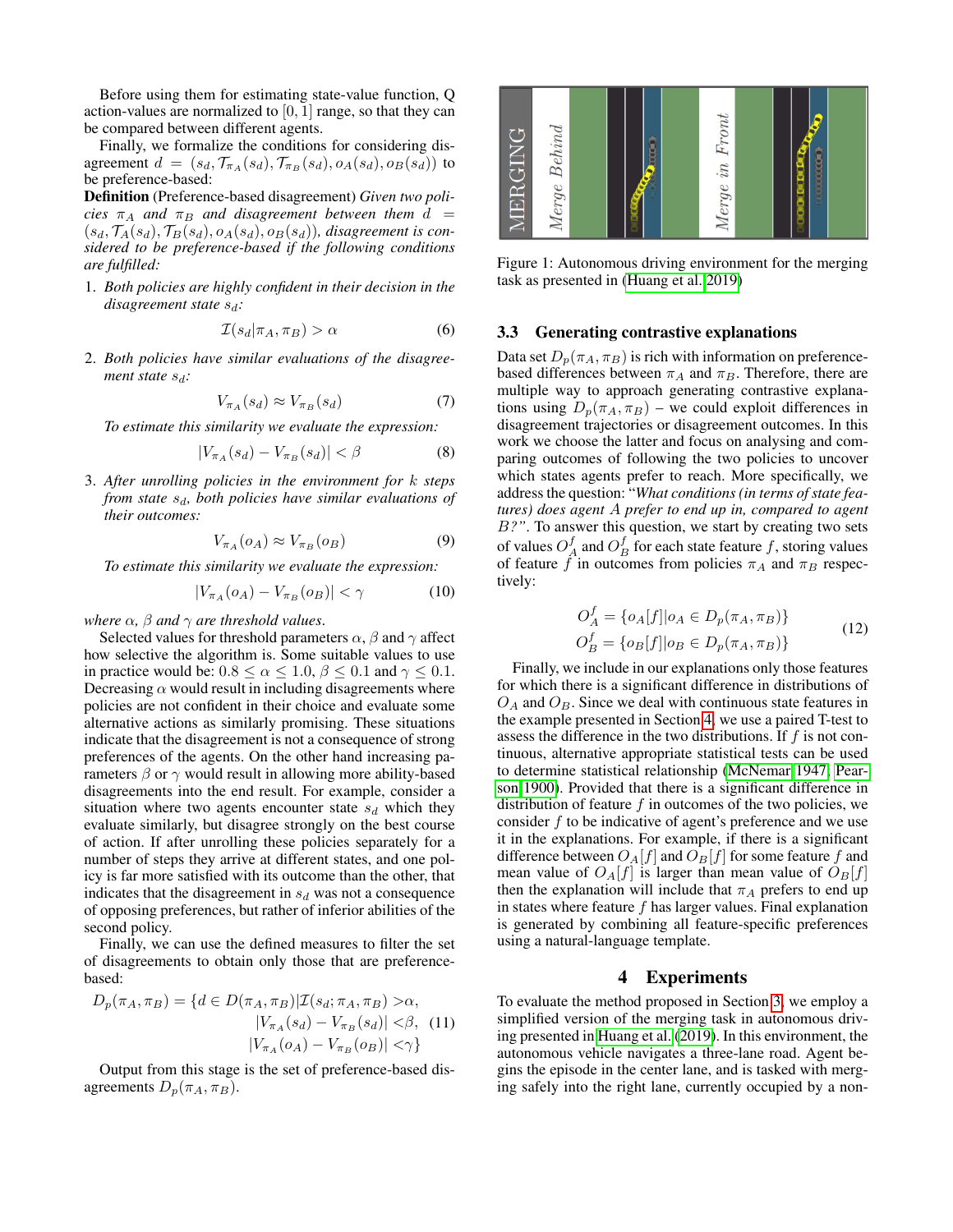Before using them for estimating state-value function, Q action-values are normalized to  $[0, 1]$  range, so that they can be compared between different agents.

Finally, we formalize the conditions for considering disagreement  $d = (s_d, T_{\pi_A}(s_d), T_{\pi_B}(s_d), o_A(s_d), o_B(s_d))$  to be preference-based:

Definition (Preference-based disagreement) *Given two policies*  $\pi_A$  *and*  $\pi_B$  *and disagreement between them*  $d =$  $(s_d, \mathcal{T}_A(s_d), \mathcal{T}_B(s_d), o_A(s_d), o_B(s_d))$ , disagreement is con*sidered to be preference-based if the following conditions are fulfilled:*

1. *Both policies are highly confident in their decision in the disagreement state*  $s_d$ *:* 

$$
\mathcal{I}(s_d|\pi_A, \pi_B) > \alpha \tag{6}
$$

2. *Both policies have similar evaluations of the disagreement state*  $s_d$ *:* 

$$
V_{\pi_A}(s_d) \approx V_{\pi_B}(s_d) \tag{7}
$$

*To estimate this similarity we evaluate the expression:*

$$
|V_{\pi_A}(s_d) - V_{\pi_B}(s_d)| < \beta \tag{8}
$$

3. *After unrolling policies in the environment for* k *steps from state*  $s_d$ *, both policies have similar evaluations of their outcomes:*

$$
V_{\pi_A}(o_A) \approx V_{\pi_B}(o_B) \tag{9}
$$

*To estimate this similarity we evaluate the expression:*

$$
|V_{\pi_A}(o_A) - V_{\pi_B}(o_B)| < \gamma \tag{10}
$$

*where*  $\alpha$ *,*  $\beta$  *and*  $\gamma$  *are threshold values.* 

Selected values for threshold parameters  $\alpha$ ,  $\beta$  and  $\gamma$  affect how selective the algorithm is. Some suitable values to use in practice would be:  $0.8 \le \alpha \le 1.0$ ,  $\beta \le 0.1$  and  $\gamma \le 0.1$ . Decreasing  $\alpha$  would result in including disagreements where policies are not confident in their choice and evaluate some alternative actions as similarly promising. These situations indicate that the disagreement is not a consequence of strong preferences of the agents. On the other hand increasing parameters  $\beta$  or  $\gamma$  would result in allowing more ability-based disagreements into the end result. For example, consider a situation where two agents encounter state  $s_d$  which they evaluate similarly, but disagree strongly on the best course of action. If after unrolling these policies separately for a number of steps they arrive at different states, and one policy is far more satisfied with its outcome than the other, that indicates that the disagreement in  $s_d$  was not a consequence of opposing preferences, but rather of inferior abilities of the second policy.

Finally, we can use the defined measures to filter the set of disagreements to obtain only those that are preferencebased:

$$
D_p(\pi_A, \pi_B) = \{ d \in D(\pi_A, \pi_B) | \mathcal{I}(s_d; \pi_A, \pi_B) > \alpha, |V_{\pi_A}(s_d) - V_{\pi_B}(s_d) | < \beta, (11) |V_{\pi_A}(o_A) - V_{\pi_B}(o_B) | < \gamma \}
$$

Output from this stage is the set of preference-based disagreements  $D_p(\pi_A, \pi_B)$ .



Figure 1: Autonomous driving environment for the merging task as presented in [\(Huang et al. 2019\)](#page-6-9)

#### <span id="page-3-0"></span>3.3 Generating contrastive explanations

Data set  $D_p(\pi_A, \pi_B)$  is rich with information on preferencebased differences between  $\pi_A$  and  $\pi_B$ . Therefore, there are multiple way to approach generating contrastive explanations using  $D_p(\pi_A, \pi_B)$  – we could exploit differences in disagreement trajectories or disagreement outcomes. In this work we choose the latter and focus on analysing and comparing outcomes of following the two policies to uncover which states agents prefer to reach. More specifically, we address the question: "*What conditions (in terms of state features) does agent* A *prefer to end up in, compared to agent* B*?"*. To answer this question, we start by creating two sets of values  $O_A^f$  and  $O_B^f$  for each state feature f, storing values of feature  $\hat{f}$  in outcomes from policies  $\pi_A$  and  $\pi_B$  respectively:

$$
O_A^f = \{o_A[f] | o_A \in D_p(\pi_A, \pi_B)\}
$$
  
\n
$$
O_B^f = \{o_B[f] | o_B \in D_p(\pi_A, \pi_B)\}
$$
\n(12)

Finally, we include in our explanations only those features for which there is a significant difference in distributions of  $O<sub>A</sub>$  and  $O<sub>B</sub>$ . Since we deal with continuous state features in the example presented in Section [4,](#page-3-1) we use a paired T-test to assess the difference in the two distributions. If  $f$  is not continuous, alternative appropriate statistical tests can be used to determine statistical relationship [\(McNemar 1947;](#page-6-14) [Pear](#page-6-15)[son 1900\)](#page-6-15). Provided that there is a significant difference in distribution of feature  $f$  in outcomes of the two policies, we consider  $f$  to be indicative of agent's preference and we use it in the explanations. For example, if there is a significant difference between  $O_A[f]$  and  $O_B[f]$  for some feature f and mean value of  $O_A[f]$  is larger than mean value of  $O_B[f]$ then the explanation will include that  $\pi_A$  prefers to end up in states where feature  $f$  has larger values. Final explanation is generated by combining all feature-specific preferences using a natural-language template.

#### 4 Experiments

<span id="page-3-1"></span>To evaluate the method proposed in Section [3,](#page-1-1) we employ a simplified version of the merging task in autonomous driving presented in [Huang et al.](#page-6-9) [\(2019\)](#page-6-9). In this environment, the autonomous vehicle navigates a three-lane road. Agent begins the episode in the center lane, and is tasked with merging safely into the right lane, currently occupied by a non-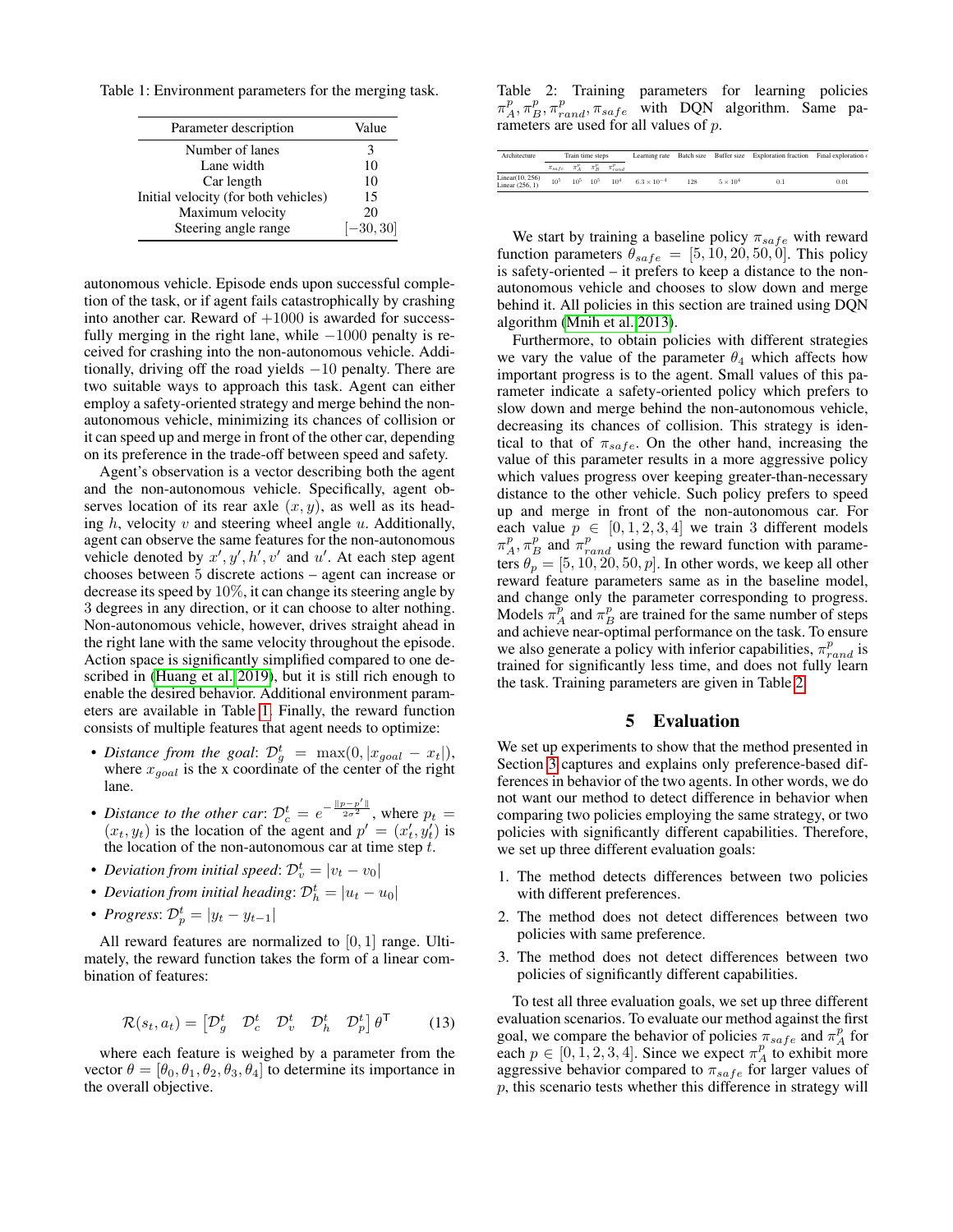<span id="page-4-0"></span>Table 1: Environment parameters for the merging task.

| Parameter description                | Value       |
|--------------------------------------|-------------|
| Number of lanes                      |             |
| Lane width                           | 10          |
| Car length                           | 10          |
| Initial velocity (for both vehicles) | 15          |
| Maximum velocity                     | 20          |
| Steering angle range                 | $[-30, 30]$ |

autonomous vehicle. Episode ends upon successful completion of the task, or if agent fails catastrophically by crashing into another car. Reward of  $+1000$  is awarded for successfully merging in the right lane, while  $-1000$  penalty is received for crashing into the non-autonomous vehicle. Additionally, driving off the road yields  $-10$  penalty. There are two suitable ways to approach this task. Agent can either employ a safety-oriented strategy and merge behind the nonautonomous vehicle, minimizing its chances of collision or it can speed up and merge in front of the other car, depending on its preference in the trade-off between speed and safety.

Agent's observation is a vector describing both the agent and the non-autonomous vehicle. Specifically, agent observes location of its rear axle  $(x, y)$ , as well as its heading  $h$ , velocity  $v$  and steering wheel angle  $u$ . Additionally, agent can observe the same features for the non-autonomous vehicle denoted by  $x', y', h', v'$  and  $u'$ . At each step agent chooses between 5 discrete actions – agent can increase or decrease its speed by 10%, it can change its steering angle by 3 degrees in any direction, or it can choose to alter nothing. Non-autonomous vehicle, however, drives straight ahead in the right lane with the same velocity throughout the episode. Action space is significantly simplified compared to one described in [\(Huang et al. 2019\)](#page-6-9), but it is still rich enough to enable the desired behavior. Additional environment parameters are available in Table [1.](#page-4-0) Finally, the reward function consists of multiple features that agent needs to optimize:

- *Distance from the goal:*  $\mathcal{D}_{g}^{t}$  =  $\max(0, |x_{goal} x_{t}|)$ , where  $x_{goal}$  is the x coordinate of the center of the right lane.
- *Distance to the other car:*  $\mathcal{D}_c^t = e^{-\frac{||p-p'||}{2\sigma^2}}$ , where  $p_t =$  $(x_t, y_t)$  is the location of the agent and  $p' = (x'_t, y'_t)$  is the location of the non-autonomous car at time step  $t$ .
- *Deviation from initial speed:*  $\mathcal{D}_{v}^{t} = |v_t v_0|$
- *Deviation from initial heading*:  $\mathcal{D}_h^t = |u_t u_0|$
- *Progress*:  $\mathcal{D}_p^t = |y_t y_{t-1}|$

All reward features are normalized to  $[0, 1]$  range. Ultimately, the reward function takes the form of a linear combination of features:

$$
\mathcal{R}(s_t, a_t) = \begin{bmatrix} \mathcal{D}_g^t & \mathcal{D}_c^t & \mathcal{D}_v^t & \mathcal{D}_h^t & \mathcal{D}_p^t \end{bmatrix} \theta^{\mathsf{T}} \tag{13}
$$

where each feature is weighed by a parameter from the vector  $\theta = [\theta_0, \theta_1, \theta_2, \theta_3, \theta_4]$  to determine its importance in the overall objective.

<span id="page-4-1"></span>Table 2: Training parameters for learning policies  $\pi_A^p, \pi_B^p, \pi_{rand}^p, \pi_{safe}^p$  with DQN algorithm. Same parameters are used for all values of p.

| Architecture                       | Train time steps |  | Learning rate |                                                 |                      | Batch size Buffer size Exploration fraction Final exploration $\epsilon$ |                 |     |      |
|------------------------------------|------------------|--|---------------|-------------------------------------------------|----------------------|--------------------------------------------------------------------------|-----------------|-----|------|
|                                    |                  |  |               | $\pi_{safe}$ $\pi_A^p$ $\pi_B^p$ $\pi_{rand}^p$ |                      |                                                                          |                 |     |      |
| Linear(10, 256)<br>Linear (256, 1) | 10 <sup>5</sup>  |  | $10^5$ $10^5$ | 10 <sup>4</sup>                                 | $6.3 \times 10^{-4}$ | 128                                                                      | $5 \times 10^4$ | 0.1 | 0.01 |

We start by training a baseline policy  $\pi_{safe}$  with reward function parameters  $\theta_{safe} = [5, 10, 20, 50, 0]$ . This policy is safety-oriented – it prefers to keep a distance to the nonautonomous vehicle and chooses to slow down and merge behind it. All policies in this section are trained using DQN algorithm [\(Mnih et al. 2013\)](#page-6-16).

Furthermore, to obtain policies with different strategies we vary the value of the parameter  $\theta_4$  which affects how important progress is to the agent. Small values of this parameter indicate a safety-oriented policy which prefers to slow down and merge behind the non-autonomous vehicle, decreasing its chances of collision. This strategy is identical to that of  $\pi_{safe}$ . On the other hand, increasing the value of this parameter results in a more aggressive policy which values progress over keeping greater-than-necessary distance to the other vehicle. Such policy prefers to speed up and merge in front of the non-autonomous car. For each value  $p \in [0, 1, 2, 3, 4]$  we train 3 different models  $\pi_A^p$ ,  $\pi_B^p$  and  $\pi_{rand}^p$  using the reward function with parameters  $\theta_p = [5, 10, 20, 50, p]$ . In other words, we keep all other reward feature parameters same as in the baseline model, and change only the parameter corresponding to progress. Models  $\pi_A^p$  and  $\pi_B^p$  are trained for the same number of steps and achieve near-optimal performance on the task. To ensure we also generate a policy with inferior capabilities,  $\pi_{rand}^p$  is trained for significantly less time, and does not fully learn the task. Training parameters are given in Table [2.](#page-4-1)

### 5 Evaluation

We set up experiments to show that the method presented in Section [3](#page-1-1) captures and explains only preference-based differences in behavior of the two agents. In other words, we do not want our method to detect difference in behavior when comparing two policies employing the same strategy, or two policies with significantly different capabilities. Therefore, we set up three different evaluation goals:

- 1. The method detects differences between two policies with different preferences.
- 2. The method does not detect differences between two policies with same preference.
- 3. The method does not detect differences between two policies of significantly different capabilities.

To test all three evaluation goals, we set up three different evaluation scenarios. To evaluate our method against the first goal, we compare the behavior of policies  $\pi_{safe}$  and  $\pi_A^p$  for each  $p \in [0, 1, 2, 3, 4]$ . Since we expect  $\pi_A^p$  to exhibit more aggressive behavior compared to  $\pi_{safe}$  for larger values of  $p$ , this scenario tests whether this difference in strategy will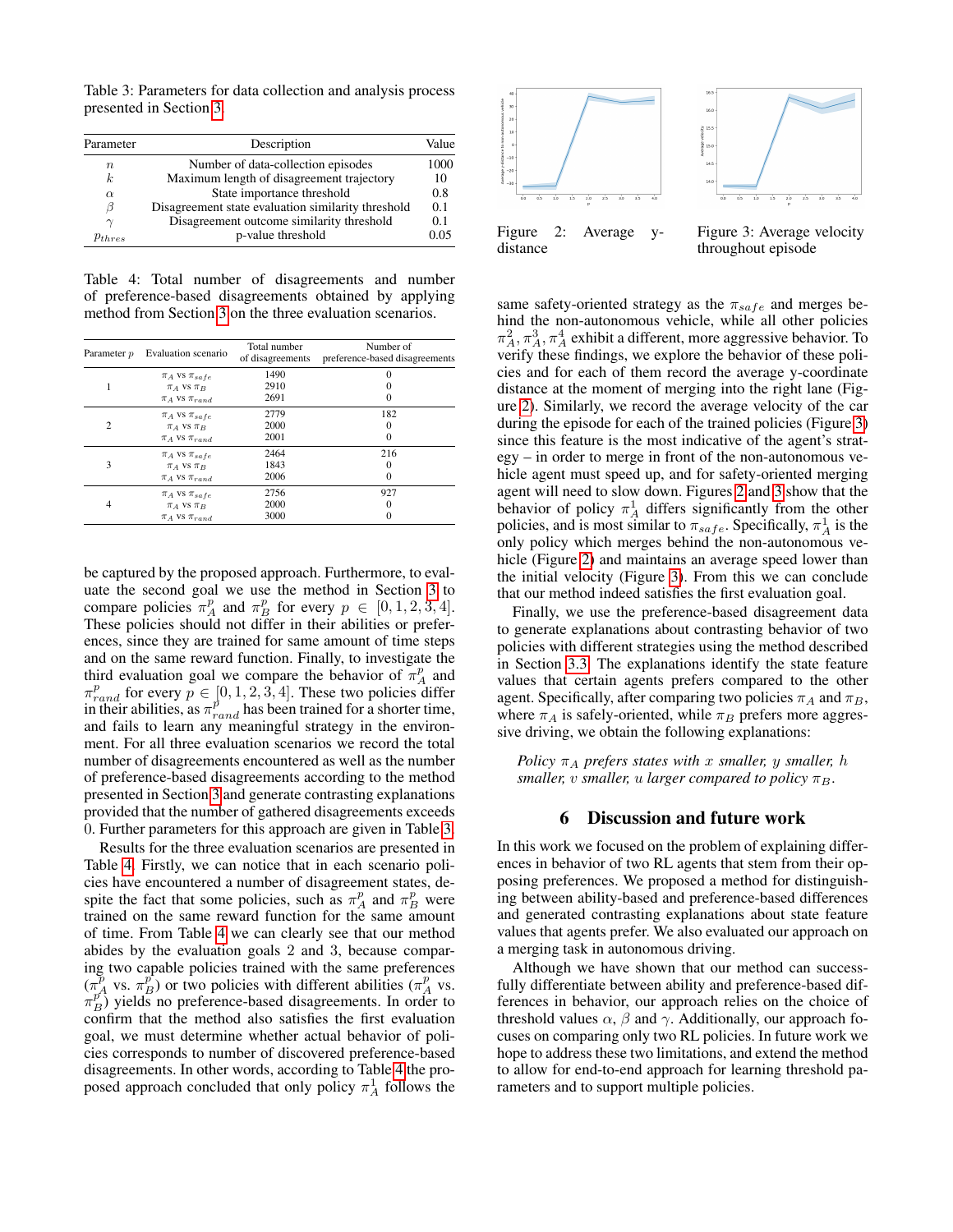<span id="page-5-0"></span>Table 3: Parameters for data collection and analysis process presented in Section [3.](#page-1-1)

| Parameter   | Description                                        |      |  |  |
|-------------|----------------------------------------------------|------|--|--|
| $\, n$      | Number of data-collection episodes                 | 1000 |  |  |
| k.          | Maximum length of disagreement trajectory          | 10   |  |  |
| $\alpha$    | State importance threshold                         | 0.8  |  |  |
| В           | Disagreement state evaluation similarity threshold | 0.1  |  |  |
| $\gamma$    | Disagreement outcome similarity threshold          | 0.1  |  |  |
| $p_{thres}$ | p-value threshold                                  | 0.05 |  |  |

<span id="page-5-1"></span>Table 4: Total number of disagreements and number of preference-based disagreements obtained by applying method from Section [3](#page-1-1) on the three evaluation scenarios.

| Parameter p    | Evaluation scenario                                                      | Total number<br>of disagreements | Number of<br>preference-based disagreements |
|----------------|--------------------------------------------------------------------------|----------------------------------|---------------------------------------------|
|                | $\pi_A$ vs $\pi_{safe}$<br>$\pi_A$ VS $\pi_B$<br>$\pi_A$ VS $\pi_{rand}$ | 1490<br>2910<br>2691             | ∩<br>$\left($                               |
| $\overline{c}$ | $\pi_A$ vs $\pi_{safe}$<br>$\pi_A$ vs $\pi_B$<br>$\pi_A$ VS $\pi_{rand}$ | 2779<br>2000<br>2001             | 182<br>0                                    |
| 3              | $\pi_A$ VS $\pi_{safe}$<br>$\pi_A$ VS $\pi_B$<br>$\pi_A$ VS $\pi_{rand}$ | 2464<br>1843<br>2006             | 216<br>0                                    |
| 4              | $\pi_A$ vs $\pi_{safe}$<br>$\pi_A$ vs $\pi_B$<br>$\pi_A$ VS $\pi_{rand}$ | 2756<br>2000<br>3000             | 927<br>0<br>0                               |

be captured by the proposed approach. Furthermore, to evaluate the second goal we use the method in Section [3](#page-1-1) to compare policies  $\pi_A^p$  and  $\pi_B^p$  for every  $p \in [0, 1, 2, 3, 4]$ . These policies should not differ in their abilities or preferences, since they are trained for same amount of time steps and on the same reward function. Finally, to investigate the third evaluation goal we compare the behavior of  $\pi_A^p$  and  $\pi_{rand}^p$  for every  $p \in [0, 1, 2, 3, 4]$ . These two policies differ in their abilities, as  $\pi_{rand}^p$  has been trained for a shorter time, and fails to learn any meaningful strategy in the environment. For all three evaluation scenarios we record the total number of disagreements encountered as well as the number of preference-based disagreements according to the method presented in Section [3](#page-1-1) and generate contrasting explanations provided that the number of gathered disagreements exceeds 0. Further parameters for this approach are given in Table [3.](#page-5-0)

Results for the three evaluation scenarios are presented in Table [4.](#page-5-1) Firstly, we can notice that in each scenario policies have encountered a number of disagreement states, despite the fact that some policies, such as  $\pi_A^p$  and  $\pi_B^p$  were trained on the same reward function for the same amount of time. From Table [4](#page-5-1) we can clearly see that our method abides by the evaluation goals 2 and 3, because comparing two capable policies trained with the same preferences  $(\pi_A^p$  vs.  $\pi_B^p)$  or two policies with different abilities  $(\pi_A^p$  vs.  $\pi_B^{p^A}$  yields no preference-based disagreements. In order to confirm that the method also satisfies the first evaluation goal, we must determine whether actual behavior of policies corresponds to number of discovered preference-based disagreements. In other words, according to Table [4](#page-5-1) the proposed approach concluded that only policy  $\pi_A^1$  follows the

<span id="page-5-2"></span>

same safety-oriented strategy as the  $\pi_{safe}$  and merges behind the non-autonomous vehicle, while all other policies  $\pi_A^2$ ,  $\pi_A^3$ ,  $\pi_A^4$  exhibit a different, more aggressive behavior. To verify these findings, we explore the behavior of these policies and for each of them record the average y-coordinate distance at the moment of merging into the right lane (Figure [2\)](#page-5-2). Similarly, we record the average velocity of the car during the episode for each of the trained policies (Figure [3\)](#page-5-2) since this feature is the most indicative of the agent's strategy – in order to merge in front of the non-autonomous vehicle agent must speed up, and for safety-oriented merging agent will need to slow down. Figures [2](#page-5-2) and [3](#page-5-2) show that the behavior of policy  $\pi_A^1$  differs significantly from the other policies, and is most similar to  $\pi_{safe}$ . Specifically,  $\pi_A^1$  is the only policy which merges behind the non-autonomous ve-hicle (Figure [2\)](#page-5-2) and maintains an average speed lower than the initial velocity (Figure [3\)](#page-5-2). From this we can conclude that our method indeed satisfies the first evaluation goal.

Finally, we use the preference-based disagreement data to generate explanations about contrasting behavior of two policies with different strategies using the method described in Section [3.3.](#page-3-0) The explanations identify the state feature values that certain agents prefers compared to the other agent. Specifically, after comparing two policies  $\pi_A$  and  $\pi_B$ , where  $\pi_A$  is safely-oriented, while  $\pi_B$  prefers more aggressive driving, we obtain the following explanations:

*Policy*  $\pi_A$  *prefers states with* x *smaller,* y *smaller,* h *smaller, v smaller, u larger compared to policy*  $\pi_B$ .

#### 6 Discussion and future work

In this work we focused on the problem of explaining differences in behavior of two RL agents that stem from their opposing preferences. We proposed a method for distinguishing between ability-based and preference-based differences and generated contrasting explanations about state feature values that agents prefer. We also evaluated our approach on a merging task in autonomous driving.

Although we have shown that our method can successfully differentiate between ability and preference-based differences in behavior, our approach relies on the choice of threshold values  $\alpha$ ,  $\beta$  and  $\gamma$ . Additionally, our approach focuses on comparing only two RL policies. In future work we hope to address these two limitations, and extend the method to allow for end-to-end approach for learning threshold parameters and to support multiple policies.